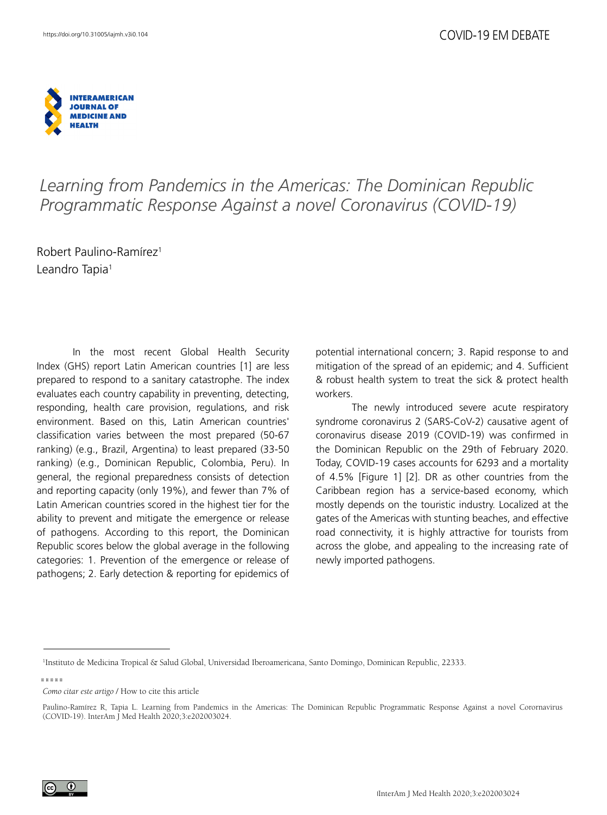

## *Learning from Pandemics in the Americas: The Dominican Republic Programmatic Response Against a novel Coronavirus (COVID-19)*

Robert Paulino-Ramírez1 Leandro Tapia<sup>1</sup>

In the most recent Global Health Security Index (GHS) report Latin American countries [1] are less prepared to respond to a sanitary catastrophe. The index evaluates each country capability in preventing, detecting, responding, health care provision, regulations, and risk environment. Based on this, Latin American countries' classification varies between the most prepared (50-67 ranking) (e.g., Brazil, Argentina) to least prepared (33-50 ranking) (e.g., Dominican Republic, Colombia, Peru). In general, the regional preparedness consists of detection and reporting capacity (only 19%), and fewer than 7% of Latin American countries scored in the highest tier for the ability to prevent and mitigate the emergence or release of pathogens. According to this report, the Dominican Republic scores below the global average in the following categories: 1. Prevention of the emergence or release of pathogens; 2. Early detection & reporting for epidemics of potential international concern; 3. Rapid response to and mitigation of the spread of an epidemic; and 4. Sufficient & robust health system to treat the sick & protect health workers.

The newly introduced severe acute respiratory syndrome coronavirus 2 (SARS-CoV-2) causative agent of coronavirus disease 2019 (COVID-19) was confirmed in the Dominican Republic on the 29th of February 2020. Today, COVID-19 cases accounts for 6293 and a mortality of 4.5% [Figure 1] [2]. DR as other countries from the Caribbean region has a service-based economy, which mostly depends on the touristic industry. Localized at the gates of the Americas with stunting beaches, and effective road connectivity, it is highly attractive for tourists from across the globe, and appealing to the increasing rate of newly imported pathogens.

*Como citar este artigo* / How to cite this article



<sup>1</sup> Instituto de Medicina Tropical & Salud Global, Universidad Iberoamericana, Santo Domingo, Dominican Republic, 22333.

Paulino-Ramírez R, Tapia L. Learning from Pandemics in the Americas: The Dominican Republic Programmatic Response Against a novel Corornavirus (COVID-19). InterAm J Med Health 2020;3:e202003024.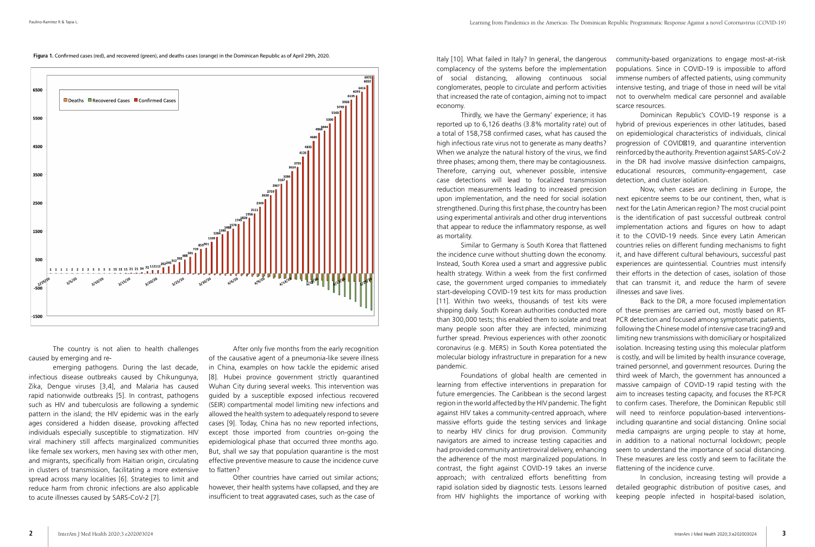The country is not alien to health challenges caused by emerging and re-

emerging pathogens. During the last decade, infectious disease outbreaks caused by Chikungunya, Zika, Dengue viruses [3,4], and Malaria has caused rapid nationwide outbreaks [5]. In contrast, pathogens such as HIV and tuberculosis are following a syndemic pattern in the island; the HIV epidemic was in the early ages considered a hidden disease, provoking affected individuals especially susceptible to stigmatization. HIV viral machinery still affects marginalized communities like female sex workers, men having sex with other men, and migrants, specifically from Haitian origin, circulating in clusters of transmission, facilitating a more extensive spread across many localities [6]. Strategies to limit and reduce harm from chronic infections are also applicable to acute illnesses caused by SARS-CoV-2 [7].

After only five months from the early recognition of the causative agent of a pneumonia-like severe illness in China, examples on how tackle the epidemic arised [8]. Hubei province government strictly quarantined Wuhan City during several weeks. This intervention was guided by a susceptible exposed infectious recovered (SEIR) compartmental model limiting new infections and allowed the health system to adequately respond to severe cases [9]. Today, China has no new reported infections, except those imported from countries on-going the epidemiological phase that occurred three months ago. But, shall we say that population quarantine is the most effective preventive measure to cause the incidence curve to flatten?

Other countries have carried out similar actions; however, their health systems have collapsed, and they are insufficient to treat aggravated cases, such as the case of

Similar to Germany is South Korea that flattened the incidence curve without shutting down the economy. Instead, South Korea used a smart and aggressive public health strategy. Within a week from the first confirmed case, the government urged companies to immediately start-developing COVID-19 test kits for mass production [11]. Within two weeks, thousands of test kits were shipping daily. South Korean authorities conducted more than 300,000 tests; this enabled them to isolate and treat many people soon after they are infected, minimizing further spread. Previous experiences with other zoonotic coronavirus (e.g. MERS) in South Korea potentiated the molecular biology infrastructure in preparation for a new pandemic.

Italy [10]. What failed in Italy? In general, the dangerous complacency of the systems before the implementation of social distancing, allowing continuous social conglomerates, people to circulate and perform activities that increased the rate of contagion, aiming not to impact economy. community-based organizations to engage most-at-risk populations. Since in COVID-19 is impossible to afford immense numbers of affected patients, using community intensive testing, and triage of those in need will be vital not to overwhelm medical care personnel and available scarce resources.

Thirdly, we have the Germany' experience; it has reported up to 6,126 deaths (3.8% mortality rate) out of a total of 158,758 confirmed cases, what has caused the high infectious rate virus not to generate as many deaths? When we analyze the natural history of the virus, we find three phases; among them, there may be contagiousness. Therefore, carrying out, whenever possible, intensive case detections will lead to focalized transmission reduction measurements leading to increased precision upon implementation, and the need for social isolation strengthened. During this first phase, the country has been using experimental antivirals and other drug interventions that appear to reduce the inflammatory response, as well as mortality. Dominican Republic's COVID-19 response is a hybrid of previous experiences in other latitudes, based on epidemiological characteristics of individuals, clinical progression of COVID 19, and quarantine intervention reinforced by the authority. Prevention against SARS-CoV-2 in the DR had involve massive disinfection campaigns, educational resources, community-engagement, case detection, and cluster isolation. Now, when cases are declining in Europe, the next epicentre seems to be our continent, then, what is next for the Latin American region? The most crucial point is the identification of past successful outbreak control implementation actions and figures on how to adapt

Foundations of global health are cemented in learning from effective interventions in preparation for future emergencies. The Caribbean is the second largest region in the world affected by the HIV pandemic. The fight against HIV takes a community-centred approach, where massive efforts guide the testing services and linkage to nearby HIV clinics for drug provision. Community navigators are aimed to increase testing capacities and had provided community antiretroviral delivery, enhancing the adherence of the most marginalized populations. In contrast, the fight against COVID-19 takes an inverse approach; with centralized efforts benefitting from rapid isolation sided by diagnostic tests. Lessons learned from HIV highlights the importance of working with

it to the COVID-19 needs. Since every Latin American countries relies on different funding mechanisms to fight it, and have different cultural behaviours, successful past experiences are quintessential. Countries must intensify their efforts in the detection of cases, isolation of those that can transmit it, and reduce the harm of severe illnesses and save lives.

Back to the DR, a more focused implementation of these premises are carried out, mostly based on RT-PCR detection and focused among symptomatic patients, following the Chinese model of intensive case tracing9 and limiting new transmissions with domiciliary or hospitalized isolation. Increasing testing using this molecular platform is costly, and will be limited by health insurance coverage, trained personnel, and government resources. During the third week of March, the government has announced a massive campaign of COVID-19 rapid testing with the aim to increases testing capacity, and focuses the RT-PCR to confirm cases. Therefore, the Dominican Republic still will need to reinforce population-based interventionsincluding quarantine and social distancing. Online social media campaigns are urging people to stay at home, in addition to a national nocturnal lockdown; people seem to understand the importance of social distancing. These measures are less costly and seem to facilitate the flattening of the incidence curve.

In conclusion, increasing testing will provide a detailed geographic distribution of positive cases, and keeping people infected in hospital-based isolation,